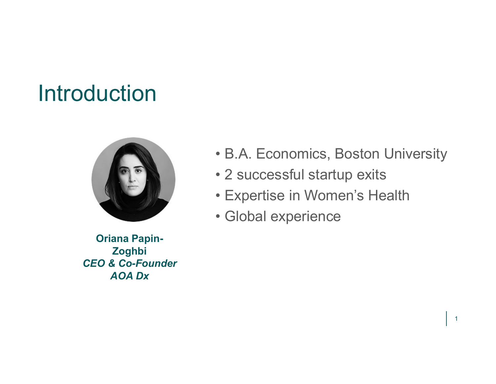## Introduction



• B.A. Economics, Boston University<br>• 2 successful startup exits<br>• Expertise in Women's Health • B.A. Economics, Boston University<br>• 2 successful startup exits<br>• Expertise in Women's Health<br>• Global experience • B.A. Economics, Boston University<br>• 2 successful startup exits<br>• Expertise in Women's Health<br>• Global experience • B.A. Economics, Boston Univers<br>• 2 successful startup exits<br>• Expertise in Women's Health<br>• Global experience

1

- 
- 
- 

Oriana Papin-Zoghbi CEO & Co-Founder AOA Dx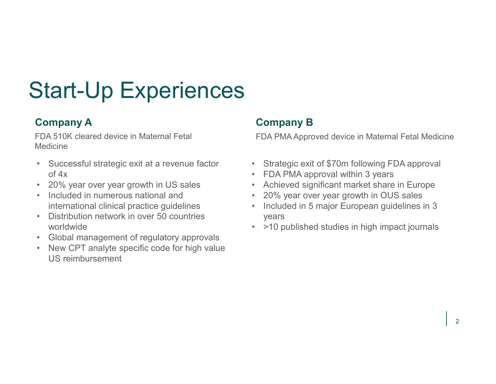# **Start-Up Experiences**<br> **Company A**<br>
FDA 510K cleared device in Maternal Fetal<br>
Medicine<br>
• Successful strategic exit at a revenue factor<br>
• 20% year over year growth in US sales<br>
• Included in numerous national and<br>
• 20% **Start-Up Experiences**<br> **Company A**<br>
FDA 510K cleared device in Maternal Fetal<br>
Medicine<br>
• Successful strategic exit at a revenue factor<br>
• Strategic<br>
• Strategic<br>
• 20% year over year growth in US sales<br>
• Included in nu **Start-Up Experiences**<br> **Company A**<br>
FDA 510K cleared device in Maternal Fetal<br>
Medicine<br>
• Successful strategic exit at a revenue factor<br>
•  $\frac{1}{20\%}$  year over year growth in US sales<br>
• Included in numerous national a **Start-Up Experiences**<br> **Company A**<br>
FDA 510K cleared device in Maternal Fetal<br>
Medicine<br>
• Successful strategic exit at a revenue factor<br>
•  $20\%$  year over year growth in US sales<br>
• Included in numerous national and<br>
• **Start-Up Experiences**<br> **Company A**<br>
FDA 510K cleared device in Maternal Fetal<br>
Medicine<br>
• Successful strategic exit at a revenue factor<br>
• Strategic exit at a revenue factor<br>
• 20% year over year growth in US sales<br>
• In • Nextribution of the Medicine<br>
• Strategic exit at a revenue factor<br>
• Successful strategic exit at a revenue factor<br>
• Successful strategic exit at a revenue factor<br>
• 20% year over year growth in US sales<br>
• Included i Start-Up Experiences

#### Company A

FDA 510K cleared device in Maternal Fetal Medicine

- of 4x
- 
- 
- worldwide
- 
- US reimbursement

#### Company B

**Company B**<br>
• Strategic exit of \$70m following FDA approval<br>
• Strategic exit of \$70m following FDA approval<br>
• FDA PMA approval within 3 years<br>
• Achieved significant market share in Europe<br>
• 20% year over year growth i FDA PMA Approved device in Maternal Fetal Medicine

- 
- 
- 
- 
- international clinical practice guidelines **1988** Included in 5 major European guidelines in 3 **Company B**<br>
FDA PMA Approved device in Maternal Fetal Medicine<br>
• Strategic exit of \$70m following FDA approval<br>
• FDA PMA approval within 3 years<br>
• Achieved significant market share in Europe<br>
• 20% year over year growt **Company B**<br>
• FDA PMA Approved device in Maternal Fetal Medicine<br>
• Strategic exit of \$70m following FDA approval<br>
• FDA PMA approval within 3 years<br>
• Achieved significant market share in Europe<br>
• 20% year over year gro **Company B**<br>
• Strategic exit of \$70m following FDA approval<br>
• Strategic exit of \$70m following FDA approval<br>
• FDA PMA approval within 3 years<br>
• Achieved significant market share in Europe<br>
• 20% year over year growth i **Company B**<br>
• FDA PMA Approved device in Maternal Fetal Medicine<br>
• Strategic exit of \$70m following FDA approval<br>
• FDA PMA approval within 3 years<br>
• Achieved significant market share in Europe<br>
• 20% year over year gro years **Company B**<br>
• Strategic exit of \$70m following FDA approval<br>
• Strategic exit of \$70m following FDA approval<br>
• FDA PMA approval within 3 years<br>
• Achieved significant market share in Europe<br>
• 20% year over year growth i
	-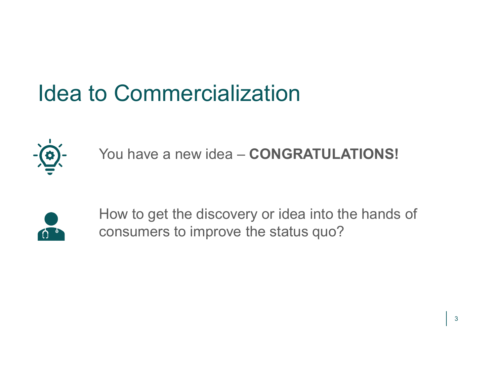## Idea to Commercialization



You have a new idea - CONGRATULATIONS!



How to get the discovery or idea into the hands of consumers to improve the status quo?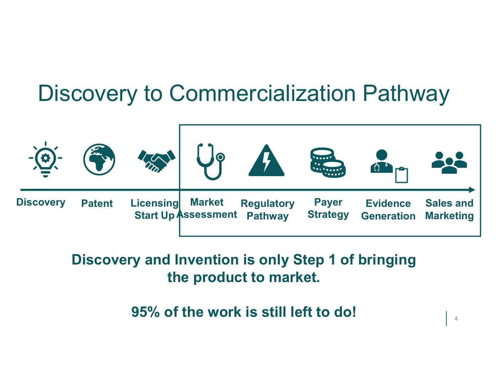## Discovery to Commercialization Pathway



### Discovery and Invention is only Step 1 of bringing the product to market.

95% of the work is still left to do!

4